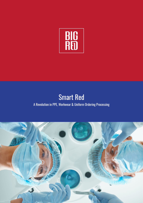

# Smart Red A Revolution in PPE, Workwear & Uniform Ordering Processing

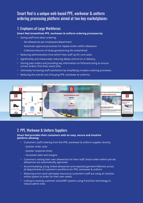## Smart Red is a unique web-based PPE, workwear & uniform ordering processing platform aimed at two key marketplaces:

## 1. Employers of Large Workforces

#### **Smart Red streamlines PPE, workwear & uniform ordering processes by:**

- • Saving staff time when ordering.
	- Set allowances per employees/department
	- Automatic approval processes for repeat orders within allowance
	- Collection/returns of faulty goods/wrong fits streamlined
- Reducing administration time which frees staff up for core tasks.
- Significantly and measurably reducing delays and errors in delivery.
- Storing past orders and providing key information on fit/brand-sizing to ensure correct orders; first time, every time.
- • Ultimately increasing staff satisfaction by simplifying complex ordering processes.
- Reducing the overall cost of buying PPE, workwear & uniforms.



### 2. PPE, Workwear & Uniform Suppliers

#### **Smart Red provides their customers with an easy, secure and intuitive platform allowing:**

- • Customer's staff ordering from the PPE, workwear & uniform supplier directly.
	- Ouicker order cycle
	- Ouicker response times
	- Increased sales and margins
- • Customer's setting their own allowances for their staff; those orders within pre-set allowances are automatically approved.
- • Accommodating sizing, linked allowances and expected garment lifetimes across all departments of customer's workforce for PPE, workwear & uniform
- • Reducing errors (and ultimately returns) as customer's staff are using an intuitive online system to order for their own needs.
- **Linking to existing customer stock/ERP systems using PunchOut technology to** reduce admin time.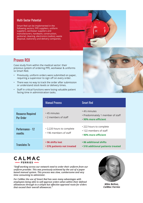### Multi-Sector Potential

Smart Red can be implemented in the following sectors; PPE suppliers, uniform suppliers, workwear suppliers and manufacturers, hardware, construction, janitorial, cleaning, electronics (radios), waste disposal, stationery and delivery companies.



# Proven ROI

Case study from within the medical sector: their previous system of ordering PPE, workwear & uniforms vs Smart Red.

- • Previously, uniform orders were submitted on paper, requiring a supervisor to sign off on every order.
- • There was no way to track the order after submission or understand stock levels or delivery times.
- Staff in critical functions were losing valuable patient facing time in administration tasks.



|                                              | <b>Manual Process</b>                               | <b>Smart Red</b>                                                          |
|----------------------------------------------|-----------------------------------------------------|---------------------------------------------------------------------------|
| <b>Resource Required</b><br><b>Per Order</b> | • 45 minutes<br>• 2 members of staff                | • 4% minutes<br>• Predominately 1 member of staff<br>• 90% more efficient |
| Performance - 12<br>months                   | • 2,220 hours to complete<br>• 196 members of staff | • 222 hours to complete<br>• 122 members of staff<br>• 90% more efficient |
| <b>Translates To</b>                         | • 96 shifts lost<br>• 576 patients not treated      | • 86 additional shifts<br><b>• 518 additional patients treated</b>        |



*"Staff working across our network need to order their uniform from our uniform provider. This was previously achieved by the use of a paper based manual system. This process was slow, cumbersome and very time consuming to administer.* 

*For CalMac the use of Smart Red has seen many advantages with employees being able to self approve orders when within their defined allowances through to a simple but effective approval route for orders that exceed their overall allowances."*



*Mike Belton, CalMac Ferries*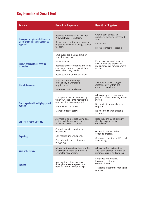# Key Benefits of Smart Red

| <b>Feature</b>                                                                        | <b>Benefit for Employers</b>                                                                                                                                                                                   | <b>Benefit For Suppliers</b>                                                                                                                                      |
|---------------------------------------------------------------------------------------|----------------------------------------------------------------------------------------------------------------------------------------------------------------------------------------------------------------|-------------------------------------------------------------------------------------------------------------------------------------------------------------------|
| Employees are given set allowances,<br>where orders will automatically be<br>approved | Reduces the time taken to order<br>PPE, workwear & uniform.<br>Reduces admin time and number<br>of people involved, making it easier<br>for staff.                                                             | Orders sent directly to<br>suppliers, meaning increased<br>sales.<br>Less errors.<br>More accurate forecasting.                                                   |
| Display of department-specific<br>wardrobes                                           | Employees are g iven a simpler<br>selection process.<br>Reduces errors.<br>Reduces 'excess' ordering, meaning<br>employees only select what they<br>need, when they need it.<br>Reduces waste and duplication. | Reduces errors and returns.<br>Streamlines the processes<br>making it easier for customers<br>to use.                                                             |
| <b>Linked allowances</b>                                                              | Staff can take advantage<br>of flexibility in wardrobe<br>requirements.<br>Increases staff satisfaction.                                                                                                       | A simple process that gives<br>staff flexibility within pre-<br>approved wardrobes.                                                                               |
| Can integrate with multiple payment<br>systems                                        | Manage the process seamlessly<br>with your supplier to reduce the<br>amount of invoices required.<br>Streamlines the process.<br>Manage budget easily.                                                         | Allows people to view stock,<br>pay and request delivery in one<br>system.<br>No duplicate, manual entries<br>required.<br>No need to change existing<br>systems. |
| <b>Can link to Active Directory</b>                                                   | A simple login process, using only<br>'active', valid employees, pre-<br>approved to submit orders.                                                                                                            | Reduces admin and simplify<br>the sign in process for<br>employees.                                                                                               |
| <b>Reporting</b>                                                                      | Control costs in one simple<br>dashboard.<br>Can reduce uniform spend.<br>Can help with forecasting and<br>budgeting.                                                                                          | Gives full control of the<br>ordering process.<br>Granular reporting on KPIs and<br>forecasting.                                                                  |
| <b>View order history</b>                                                             | Allows staff to review sizes and fits<br>in previous orders, to minimise<br>errors for new orders.                                                                                                             | Allows staff to review sizes<br>and fits in previous orders, to<br>minimise errors and returns.                                                                   |
| <b>Returns</b>                                                                        | Manage the return process<br>through the same system, and<br>track each return until receipt.                                                                                                                  | Simplifies the process.<br>Increased customer<br>communication.<br>Traceable system for managing<br>returns.                                                      |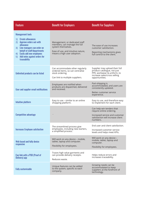| <b>Feature</b>                                                                                                                                                                                                                                                         | <b>Benefit for Employers</b>                                                                                                                              | <b>Benefit For Suppliers</b>                                                                                                                   |
|------------------------------------------------------------------------------------------------------------------------------------------------------------------------------------------------------------------------------------------------------------------------|-----------------------------------------------------------------------------------------------------------------------------------------------------------|------------------------------------------------------------------------------------------------------------------------------------------------|
| <b>Management tools</b><br><b>Create allowances</b><br>1)<br>Approve orders out-with<br>2)<br>allowance<br>3) Line managers can order on<br>behalf of staff/departments<br><b>Easily add new employees</b><br>4)<br>Add notes against orders for<br>5)<br>traceability | Management, or dedicated staff<br>members, can manage the full<br>system themselves.<br>Ease of use, and intuitive nature,<br>means a high user adoption. | The ease of use increases<br>customer satisfaction.<br>Reporting mechanisms gives<br>full control to the client.                               |
| Unlimited products can be listed                                                                                                                                                                                                                                       | Can accommodate other regularly<br>ordered items, so can centralise<br>stock ordering.<br>Can link to multiple suppliers.                                 | Supplier may upload their full<br>product catalogue, not just<br>PPE, workwear & uniform, to<br>increase sales/cross selling<br>opportunities. |
| User and supplier email notifications                                                                                                                                                                                                                                  | Employees are notified when<br>products are dispatched, delivered<br>and received.                                                                        | Part-shipping is<br>accommodated, and users are<br>consistently updated.<br>Better customer service<br>experience.                             |
| Intuitive platform                                                                                                                                                                                                                                                     | Easy to use - similar to an online<br>shopping platform.                                                                                                  | Easy to use, and therefore easy<br>to implement for each client.                                                                               |
| <b>Competitive advantage</b>                                                                                                                                                                                                                                           |                                                                                                                                                           | Can help win tenders that<br>require online ordering.<br>Increased service and customer<br>satisfaction will increase client<br>numbers.       |
| <b>Increases Employee satisfaction</b>                                                                                                                                                                                                                                 | The streamlined process give<br>employees, including new starters,<br>a simplified process.                                                               | End user and client satisfaction.<br>Increased customer service<br>levels and helps meet KPIs.                                                 |
| Web based and fully device<br>responsive                                                                                                                                                                                                                               | Will work on any device - mobile,<br>tablet, laptop and computer.<br>Flexibility for employees.                                                           | Will work on any device -<br>mobile, tablet, laptop and<br>computer.<br>Flexibility for employees.                                             |
| Can link with a POD (Proof of<br>Delivery) app                                                                                                                                                                                                                         | Traces high value garments and<br>can provide delivery receipts.<br>Reduces waste.                                                                        | Helps reduce errors and<br>increases traceability.                                                                                             |
| <b>Fully customisable</b>                                                                                                                                                                                                                                              | Unique features can be added<br>to the system, specific to each<br>company.                                                                               | Growing needs can be<br>accommodated to keep<br>suppliers at the forefront of<br>technology.                                                   |